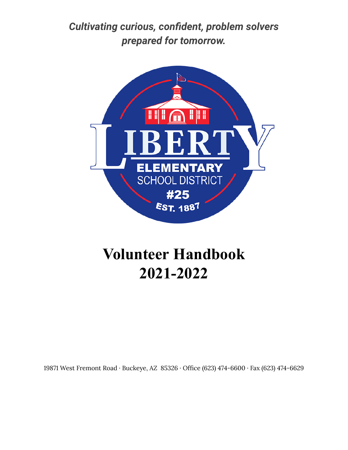*Cultivating curious, confident, problem solvers prepared for tomorrow.*



# **Volunteer Handbook 2021-2022**

19871 West Fremont Road · Buckeye, AZ 85326 · Office (623) 474-6600 · Fax (623) 474-6629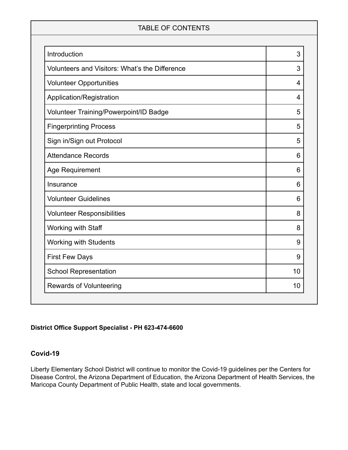| <b>TABLE OF CONTENTS</b>                       |    |
|------------------------------------------------|----|
|                                                |    |
| Introduction                                   | 3  |
| Volunteers and Visitors: What's the Difference | 3  |
| <b>Volunteer Opportunities</b>                 | 4  |
| Application/Registration                       | 4  |
| Volunteer Training/Powerpoint/ID Badge         | 5  |
| <b>Fingerprinting Process</b>                  | 5  |
| Sign in/Sign out Protocol                      | 5  |
| <b>Attendance Records</b>                      | 6  |
| Age Requirement                                | 6  |
| Insurance                                      | 6  |
| <b>Volunteer Guidelines</b>                    | 6  |
| <b>Volunteer Responsibilities</b>              | 8  |
| Working with Staff                             | 8  |
| Working with Students                          | 9  |
| <b>First Few Days</b>                          | 9  |
| <b>School Representation</b>                   | 10 |
| <b>Rewards of Volunteering</b>                 | 10 |

## **District Office Support Specialist - PH 623-474-6600**

### **Covid-19**

Liberty Elementary School District will continue to monitor the Covid-19 guidelines per the Centers for Disease Control, the Arizona Department of Education, the Arizona Department of Health Services, the Maricopa County Department of Public Health, state and local governments.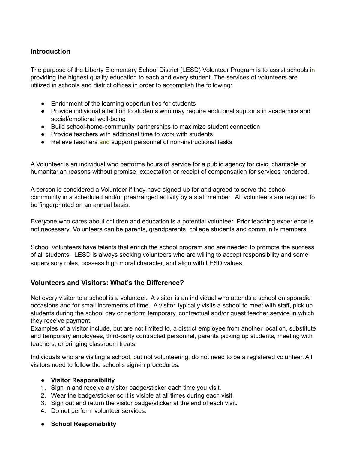## **Introduction**

The purpose of the Liberty Elementary School District (LESD) Volunteer Program is to assist schools in providing the highest quality education to each and every student. The services of volunteers are utilized in schools and district offices in order to accomplish the following:

- Enrichment of the learning opportunities for students
- Provide individual attention to students who may require additional supports in academics and social/emotional well-being
- Build school-home-community partnerships to maximize student connection
- Provide teachers with additional time to work with students
- Relieve teachers and support personnel of non-instructional tasks

A Volunteer is an individual who performs hours of service for a public agency for civic, charitable or humanitarian reasons without promise, expectation or receipt of compensation for services rendered.

A person is considered a Volunteer if they have signed up for and agreed to serve the school community in a scheduled and/or prearranged activity by a staff member. All volunteers are required to be fingerprinted on an annual basis.

Ever*y*one who cares about children and education is a potential volunteer. Prior teaching experience is not necessary. Volunteers can be parents, grandparents, college students and community members.

School Volunteers have talents that enrich the school program and are needed to promote the success of all students. LESD is always seeking volunteers who are willing to accept responsibility and some supervisory roles, possess high moral character, and align with LESD values.

### **Volunteers and Visitors: What's the Difference?**

Not every visitor to a school is a volunteer. A visitor is an individual who attends a school on sporadic occasions and for small increments of time. A visitor typically visits a school to meet with staff, pick up students during the school day or perform temporary, contractual and/or guest teacher service in which they receive payment.

Examples of a visitor include, but are not limited to, a district employee from another location, substitute and temporary employees, third-party contracted personnel, parents picking up students, meeting with teachers, or bringing classroom treats.

Individuals who are visiting a school, but not volunteering, do not need to be a registered volunteer. All visitors need to follow the school's sign-in procedures.

#### **● Visitor Responsibility**

- 1. Sign in and receive a visitor badge/sticker each time you visit.
- 2. Wear the badge/sticker so it is visible at all times during each visit.
- 3. Sign out and return the visitor badge/sticker at the end of each visit.
- 4. Do not perform volunteer services.
- **● School Responsibility**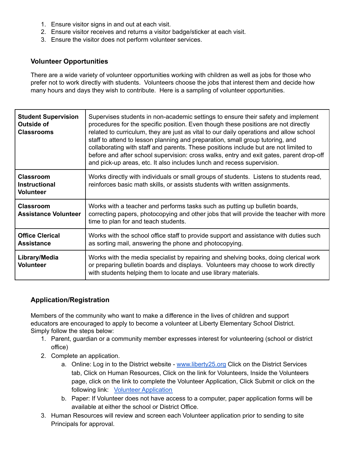- 1. Ensure visitor signs in and out at each visit.
- 2. Ensure visitor receives and returns a visitor badge/sticker at each visit.
- 3. Ensure the visitor does not perform volunteer services.

### **Volunteer Opportunities**

There are a wide variety of volunteer opportunities working with children as well as jobs for those who prefer not to work directly with students. Volunteers choose the jobs that interest them and decide how many hours and days they wish to contribute. Here is a sampling of volunteer opportunities.

| <b>Student Supervision</b><br>Outside of<br><b>Classrooms</b> | Supervises students in non-academic settings to ensure their safety and implement<br>procedures for the specific position. Even though these positions are not directly<br>related to curriculum, they are just as vital to our daily operations and allow school<br>staff to attend to lesson planning and preparation, small group tutoring, and<br>collaborating with staff and parents. These positions include but are not limited to<br>before and after school supervision: cross walks, entry and exit gates, parent drop-off<br>and pick-up areas, etc. It also includes lunch and recess supervision. |
|---------------------------------------------------------------|-----------------------------------------------------------------------------------------------------------------------------------------------------------------------------------------------------------------------------------------------------------------------------------------------------------------------------------------------------------------------------------------------------------------------------------------------------------------------------------------------------------------------------------------------------------------------------------------------------------------|
| <b>Classroom</b><br><b>Instructional</b><br><b>Volunteer</b>  | Works directly with individuals or small groups of students. Listens to students read,<br>reinforces basic math skills, or assists students with written assignments.                                                                                                                                                                                                                                                                                                                                                                                                                                           |
| <b>Classroom</b><br><b>Assistance Volunteer</b>               | Works with a teacher and performs tasks such as putting up bulletin boards,<br>correcting papers, photocopying and other jobs that will provide the teacher with more<br>time to plan for and teach students.                                                                                                                                                                                                                                                                                                                                                                                                   |
| <b>Office Clerical</b><br><b>Assistance</b>                   | Works with the school office staff to provide support and assistance with duties such<br>as sorting mail, answering the phone and photocopying.                                                                                                                                                                                                                                                                                                                                                                                                                                                                 |
| Library/Media<br>Volunteer                                    | Works with the media specialist by repairing and shelving books, doing clerical work<br>or preparing bulletin boards and displays. Volunteers may choose to work directly<br>with students helping them to locate and use library materials.                                                                                                                                                                                                                                                                                                                                                                    |

## **Application/Registration**

Members of the community who want to make a difference in the lives of children and support educators are encouraged to apply to become a volunteer at Liberty Elementary School District. Simply follow the steps below:

- 1. Parent, guardian or a community member expresses interest for volunteering (school or district office)
- 2. Complete an application.
	- a. Online: Log in to the District website www.liberty25.org Click on the District Services tab, Click on Human Resources, Click on the link for Volunteers, Inside the Volunteers page, click on the link to complete the Volunteer Application, Click Submit or click on the following link: Volunteer Application
	- b. Paper: If Volunteer does not have access to a computer, paper application forms will be available at either the school or District Office.
- 3. Human Resources will review and screen each Volunteer application prior to sending to site Principals for approval.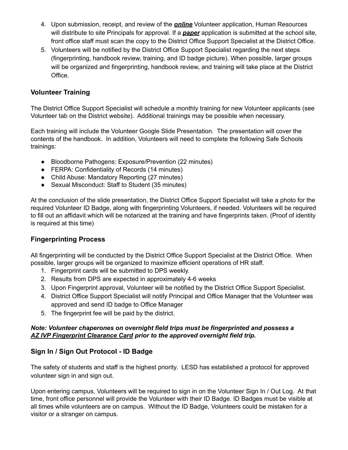- 4. Upon submission, receipt, and review of the *online* Volunteer application, Human Resources will distribute to site Principals for approval. If a *paper* application is submitted at the school site, front office staff must scan the copy to the District Office Support Specialist at the District Office.
- 5. Volunteers will be notified by the District Office Support Specialist regarding the next steps (fingerprinting, handbook review, training, and ID badge picture). When possible, larger groups will be organized and fingerprinting, handbook review, and training will take place at the District Office.

## **Volunteer Training**

The District Office Support Specialist will schedule a monthly training for new Volunteer applicants (see Volunteer tab on the District website). Additional trainings may be possible when necessary.

Each training will include the Volunteer Google Slide Presentation. The presentation will cover the contents of the handbook. In addition, Volunteers will need to complete the following Safe Schools trainings:

- Bloodborne Pathogens: Exposure/Prevention (22 minutes)
- FERPA: Confidentiality of Records (14 minutes)
- Child Abuse: Mandatory Reporting (27 minutes)
- Sexual Misconduct: Staff to Student (35 minutes)

At the conclusion of the slide presentation, the District Office Support Specialist will take a photo for the required Volunteer ID Badge, along with fingerprinting Volunteers, if needed. Volunteers will be required to fill out an affidavit which will be notarized at the training and have fingerprints taken. (Proof of identity is required at this time)

### **Fingerprinting Process**

All fingerprinting will be conducted by the District Office Support Specialist at the District Office. When possible, larger groups will be organized to maximize efficient operations of HR staff.

- 1. Fingerprint cards will be submitted to DPS weekly.
- 2. Results from DPS are expected in approximately 4-6 weeks
- 3. Upon Fingerprint approval, Volunteer will be notified by the District Office Support Specialist.
- 4. District Office Support Specialist will notify Principal and Office Manager that the Volunteer was approved and send ID badge to Office Manager
- 5. The fingerprint fee will be paid by the district.

#### *Note: Volunteer chaperones on overnight field trips must be fingerprinted and possess a AZ IVP Fingerprint Clearance Card prior to the approved overnight field trip.*

### **Sign In / Sign Out Protocol - ID Badge**

The safety of students and staff is the highest priority. LESD has established a protocol for approved volunteer sign in and sign out.

Upon entering campus, Volunteers will be required to sign in on the Volunteer Sign In / Out Log. At that time, front office personnel will provide the Volunteer with their ID Badge. ID Badges must be visible at all times while volunteers are on campus. Without the ID Badge, Volunteers could be mistaken for a visitor or a stranger on campus.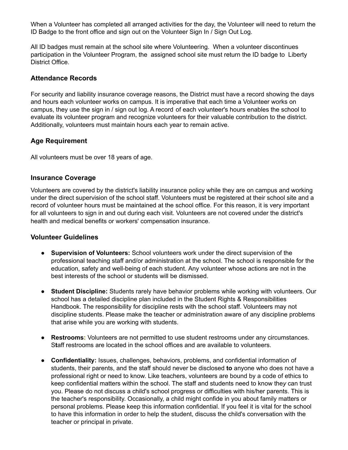When a Volunteer has completed all arranged activities for the day, the Volunteer will need to return the ID Badge to the front office and sign out on the Volunteer Sign In / Sign Out Log.

All ID badges must remain at the school site where Volunteering. When a volunteer discontinues participation in the Volunteer Program, the assigned school site must return the ID badge to Liberty District Office.

### **Attendance Records**

For security and liability insurance coverage reasons, the District must have a record showing the days and hours each volunteer works on campus. It is imperative that each time a Volunteer works on campus, they use the sign in / sign out log. A record of each volunteer's hours enables the school to evaluate its volunteer program and recognize volunteers for their valuable contribution to the district. Additionally, volunteers must maintain hours each year to remain active.

## **Age Requirement**

All volunteers must be over 18 years of age.

## **Insurance Coverage**

Volunteers are covered by the district's liability insurance policy while they are on campus and working under the direct supervision of the school staff. Volunteers must be registered at their school site and a record of volunteer hours must be maintained at the school office. For this reason, it is very important for all volunteers to sign in and out during each visit. Volunteers are not co*v*ered under the district's health and medical benefits or workers' compensation insurance.

### **Volunteer Guidelines**

- **Supervision of Volunteers:** School volunteers work under the direct supervision of the professional teaching staff and/or administration at the school. The school is responsible for the education, safety and well-being of each student. Any volunteer whose actions are not in the best interests of the school or students will be dismissed.
- **Student Discipline:** Students rarely have behavior problems while working with volunteers. Our school has a detailed discipline plan included in the Student Rights & Responsibilities Handbook. The responsibility for discipline rests with the school staff. Volunteers may not discipline students. Please make the teacher or administration aware of any discipline problems that arise while you are working with students.
- **Restrooms:** Volunteers are not permitted to use student restrooms under any circumstances. S**t**aff restrooms are located in the school offices and are available to volunteers.
- **Confidentiality:** Issues, challenges, behaviors, problems, and confidential information of students, their parents, and the staff should never be disclosed **to** anyone who does not have a professional right or need to know. Like teachers, volunteers are bound by a code of ethics to keep confidential matters within the school. The staff and students need to know the*y* can trust you. Please do not discuss a child's school progress or difficulties with his/her parents. This is the teacher's responsibility. Occasionally, a child might confide in you about family matters or personal problems. Please keep this information confidential. If you feel it is vital for the school to have this information in order to help the student, discuss the child's conversation with the teacher or principal in private.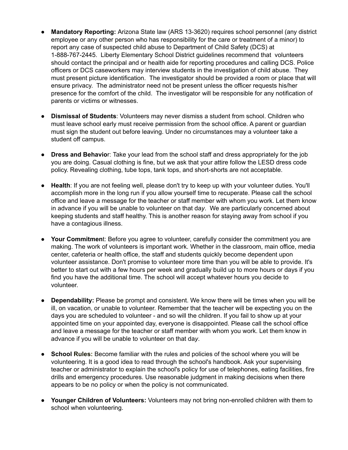- **● Mandatory Reporting:** Arizona State law (ARS 13-3620) requires school personnel (any district employee or any other person who has responsibility for the care or treatment of a minor) to report any case of suspected child abuse to Department of Child Safety (DCS) at 1-888-767-2445. Liberty Elementary School District guidelines recommend that volunteers should contact the principal and or health aide for reporting procedures and calling DCS. Police officers or DCS caseworkers may interview students in the investigation of child abuse. They must present picture identification. The investigator should be provided a room or place that will ensure privacy. The administrator need not be present unless the officer requests his/her presence for the comfort of the child. The investigator will be responsible for any notification of parents or victims or witnesses.
- **Dismissal of Students**: Volunteers may never dismiss a student from school. Children who must leave school early must receive permission from the school office. A parent or guardian must sign the student out before leaving. Under no circumstances may a volunteer take a student off campus.
- **Dress and Behavio**r: Take your lead from the school staff and dress appropriately for the job you are doing. Casual clothing is fine, but we ask that your attire follow the LESD dress code policy. Revealing clothing, tube tops, tank tops, and short-shorts are not acceptable.
- **Health**: If you are not feeling well, please don't try to keep up with your volunteer duties. You'll accomplish more in the long run if you allow yourself time to recuperate. Please call the school office and leave a message for the teacher or staff member with whom you work. Let them know in advance if you will be unable to volunteer on that da*y*. We are particularly concerned about keeping students and staff healthy. This is another reason for staying away from school if you have a contagious illness.
- Your Commitment: Before you agree to volunteer, carefully consider the commitment you are making. The work of volunteers is important work. Whether in the classroom, main office, media center, cafeteria or health office, the staff and students quickly become dependent upon volunteer assistance. Don't promise to volunteer more time than you will be able to provide. It's better to start out with a few hours per week and gradually build up to more hours or days if you find you have the additional time. The school will accept whatever hours you decide to volunteer.
- **Dependability:** Please be prompt and consistent. We know there will be times when you will be ill, on vacation, or unable to volunteer. Remember that the teacher will be expecting you on the days you are scheduled to volunteer - and so will the children. If you fail to show up at your appointed time on your appointed day, e*v*eryone is disappointed. Please call the school office and leave a message for the teacher or staff member with whom you work. Let them know in advance if you will be unable to volunteer on that da*y*.
- **School Rules:** Become familiar with the rules and policies of the school where you will be volunteering. It is a good idea to read through the school's handbook. Ask your supervising teacher or administrator to explain the school's policy for use of telephones, eating facilities, fire drills and emergency procedures. Use reasonable judgment in making decisions when there appears to be no policy or when the policy is not communicated.
- **Younger Children of Volunteers:** Volunteers may not bring non-enrolled children with them to school when volunteering.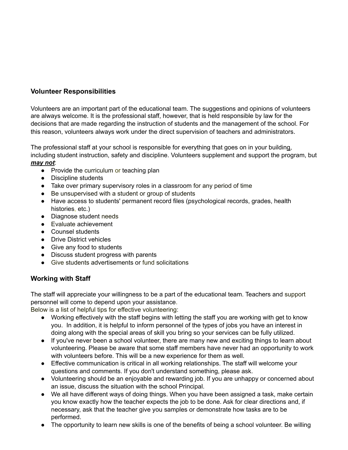# **Volunteer Responsibilities**

Volunteers are an important part of the educational team. The suggestions and opinions of volunteers are always welcome. It is the professional staff, however, that is held responsible by law for the decisions that are made regarding the instruction of students and the management of the school. For this reason, volunteers always work under the direct supervision of teachers and administrators.

The professional staff at your school is responsible for everything that goes on in your building, including student instruction, safety and discipline. Volunteers supplement and support the program, but *may not*:

- Provide the curriculum or teaching plan
- Discipline students
- Take over primary supervisory roles in a classroom for any period of time
- Be unsupervised with a student or group of students
- Have access to students' permanent record files (psychological records, grades, health histories, etc.)
- Diagnose student needs
- Evaluate achievement
- Counsel students
- Drive District vehicles
- Give any food to students
- Discuss student progress with parents
- Give students advertisements or fund solicitations

### **Working with Staff**

The staff will appreciate your willingness to be a part of the educational team. Teachers and support personnel will come to depend upon your assistance.

Below is a list of helpful tips for effective volunteering:

- Working effectively with the staff begins with letting the staff you are working with get to know you. In addition, it is helpful to inform personnel of the types of jobs you have an interest in doing along with the special areas of skill you bring so your services can be fully utilized.
- If you've never been a school volunteer, there are many new and exciting things to learn about volunteering. Please be aware that some staff members have never had an opportunity to work with volunteers before. This will be a new experience for them as well.
- Effective communication is critical in all working relationships. The staff will welcome your questions and comments. If you don't understand something, please ask.
- Volunteering should be an enjoyable and rewarding job. If you are unhappy or concerned about an issue, discuss the situation with the school Principal.
- We all have different ways of doing things. When you have been assigned a task, make certain you know exactly how the teacher expects the job to be done. Ask for clear directions and, if necessary, ask that the teacher give you samples or demonstrate how tasks are to be performed.
- The opportunity to learn new skills is one of the benefits of being a school volunteer. Be willing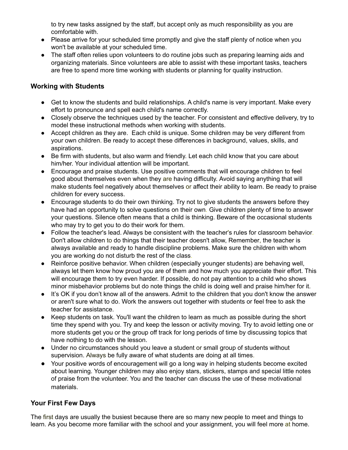to try new tasks assigned by the staff, but accept only as much responsibility as you are comfortable with.

- Please arrive for your scheduled time promptly and give the staff plenty of notice when you won't be available at your scheduled time.
- The staff often relies upon volunteers to do routine jobs such as preparing learning aids and organizing materials. Since volunteers are able to assist with these important tasks, teachers are free to spend more time working with students or planning for quality instruction.

## **Working with Students**

- Get to know the students and build relationships. A child's name is very important. Make every effort to pronounce and spell each child's name correctly.
- Closely observe the techniques used by the teacher. For consistent and effective delivery, try to model these instructional methods when working with students.
- Accept children as they are. Each child is unique. Some children may be very different from your own children. Be ready to accept these differences in background, values, skills, and aspirations.
- Be firm with students, but also warm and friendly. Let each child know that you care about him/her. Your individual attention will be important.
- Encourage and praise students. Use positive comments that will encourage children to feel good about themselves even when they are having difficulty. Avoid saying anything that will make students feel negatively about themselves or affect their ability to learn. Be ready to praise children for every success.
- Encourage students to do their own thinking. Try not to give students the answers before they have had an opportunity to solve questions on their own. Give children plenty of time to answer your questions. Silence often means that a child is thinking. Beware of the occasional students who may try to get you to do their work for them.
- Follow the teacher's lead. Always be consistent with the teacher's rules for classroom behavior. Don't allow children to do things that their teacher doesn't allow, Remember, the teacher is always available and ready to handle discipline problems. Make sure the children with whom you are working do not disturb the rest of the class.
- Reinforce positive behavior. When children (especially younger students) are behaving well, always let them know how proud you are of them and how much you appreciate their effort. This will encourage them to try even harder. If possible, do not pay attention to a child who shows minor misbehavior problems but do note things the child is doing well and praise him/her for it.
- It's OK if you don't know all of the answers. Admit to the children that you don't know the answer or aren't sure what to do. Work the answers out together with students or feel free to ask the teacher for assistance.
- Keep students on task. You'll want the children to learn as much as possible during the short time they spend with you. Try and keep the lesson or activity moving. Try to avoid letting one or more students get you or the group off track for long periods of time by discussing topics that have nothing to do with the lesson.
- Under no circumstances should you leave a student or small group of students without supervision. Always be fully aware of what students are doing at all times.
- Your positive *w*ords of encouragement will go a long way in helping students become excited about learning. Younger children may also enjoy stars, stickers, stamps and special little notes of praise from the volunteer. You and the teacher can discuss the use of these motivational materials.

## **Your First Few Days**

The first days are usually the busiest because there are so many new people to meet and things to learn. As you become more familiar with the school and your assignment, you will feel more at home.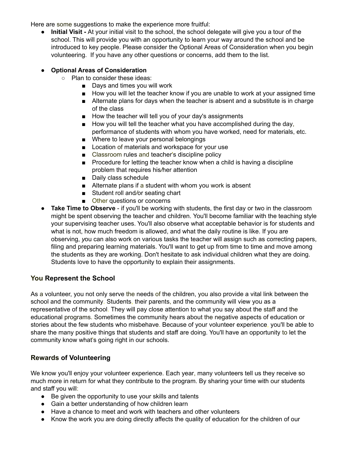Here are some suggestions to make the experience more fruitful:

● **Initial Visit -** At your initial visit to the school, the school delegate will give you a tour of the school. This will provide you with an opportunity to learn your way around the school and be introduced to key people. Please consider the Optional Areas of Consideration when you begin volunteering. If you have any other questions or concerns, add them to the list.

## ● **Optional Areas of Consideration**

- Plan to consider these ideas:
	- Days and times you will work
	- How you will let the teacher know if you are unable to work at your assigned time
	- Alternate plans for days when the teacher is absent and a substitute is in charge of the class
	- How the teacher will tell you of your day's assignments
	- How you will tell the teacher what you have accomplished during the day, performance of students with whom you have worked, need for materials, etc.
	- Where to leave your personal belongings
	- Location of materials and workspace for your use
	- Classroom rules and teacher's discipline policy
	- Procedure for letting the teacher know when a child is having a discipline problem that requires his*/*her attention
	- Daily class schedule
	- Alternate plans if a student with whom you work is absent
	- Student roll and/or seating chart
	- Other questions or concerns
- **Take Time to Observe** if you'll be working with students, the first day or two in the classroom might be spent observing the teacher and children. You'll become familiar with the teaching style your supervising teacher uses. You'll also observe what acceptable behavior is for students and what is not, how much freedom is allowed, and what the daily routine is like. If you are observing, *y*ou can also work on various tasks the teacher will assign such as correcting papers, filing and preparing learning materials. You'll want to get up from time to time and move among the students as they are working. Don't hesitate to ask individual children what they are doing. Students love to have the opportunity to explain their assignments.

## **You Represent the School**

As a volunteer, you not only serve the needs of the children, you also provide a vital link between the school and the community. Students, their parents, and the community will view you as a representative of the school. They will pay close attention to what you say about the staff and the educational programs. Sometimes the community hears about the negative aspects of education or stories about the few students who misbehave. Because of your volunteer experience, you'll be able to share the many positive things that students and staff are doing. You'll have an opportunity to let the community know what's going right in our schools.

## **Rewards of Volunteering**

We know you'll enjoy your volunteer experience. Each year, many volunteers tell us they receive so much more in return for what they contribute to the program. By sharing your time with our students and staff you will:

- Be given the opportunity to use your skills and talents
- Gain a better understanding of how children learn
- Have a chance to meet and work with teachers and other volunteers
- Know the work you are doing directly affects the quality of education for the children of our